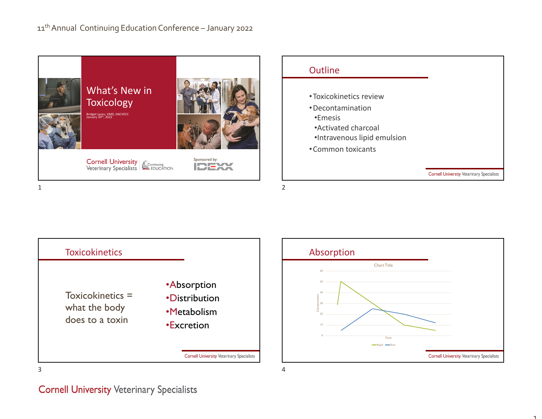

**Toxicokinetics** •Absorption Toxicokinetics = •Distributionwhat the body •Metabolismdoes to a toxin•Excretion**Cornell University Veterinary Specialists** 



 $\overline{1}$ 

#### **Cornell University Veterinary Specialists**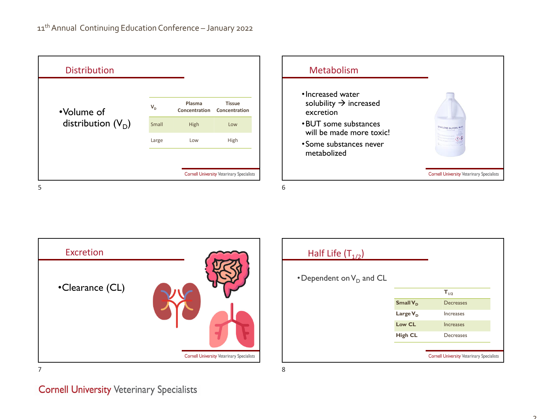| •Volume of<br>distribution $(V_D)$ | $V_{D}$                                          | Plasma<br>Concentration | <b>Tissue</b><br>Concentration |
|------------------------------------|--------------------------------------------------|-------------------------|--------------------------------|
|                                    | Small                                            | High                    | Low                            |
|                                    | Large                                            | Low                     | High                           |
|                                    |                                                  |                         |                                |
|                                    | <b>Cornell University Veterinary Specialists</b> |                         |                                |





| Half Life $(T_{1/2})$       |                      |                                                  |
|-----------------------------|----------------------|--------------------------------------------------|
| • Dependent on $V_D$ and CL |                      |                                                  |
|                             |                      | $T_{1/2}$                                        |
|                             | Small V <sub>D</sub> | <b>Decreases</b>                                 |
|                             | Large $V_D$          | <b>Increases</b>                                 |
|                             | Low CL               | <b>Increases</b>                                 |
|                             | <b>High CL</b>       | Decreases                                        |
|                             |                      |                                                  |
|                             |                      | <b>Cornell University Veterinary Specialists</b> |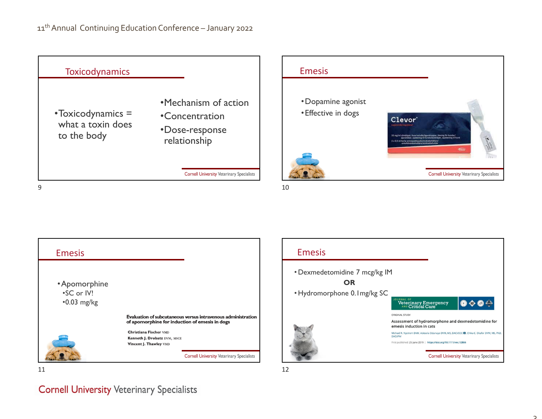



Emesis•Apomorphine •SC or IV! •0.03 mg/kg Evaluation of subcutaneous versus intravenous administration of apomorphine for induction of emesis in dogs Christiana Fischer VMD Kenneth J. Drobatz DVM, MSCE Vincent J. Thawley VMD **Cornell University Veterinary Specialists** 



# **Cornell University Veterinary Specialists**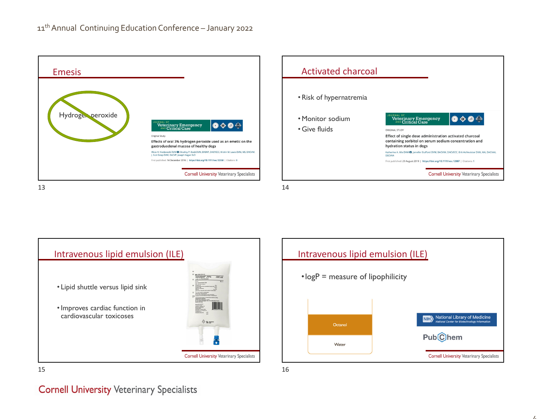







 $\overline{I}$ 

#### **Cornell University Veterinary Specialists**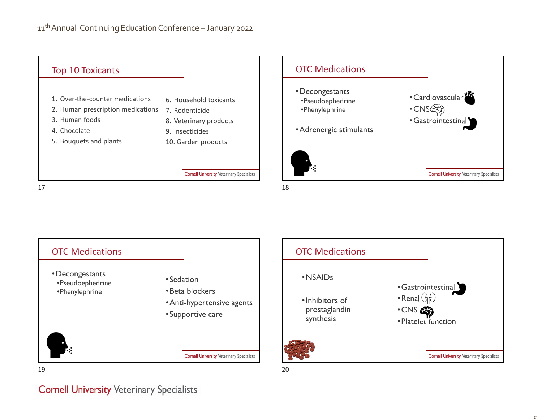

 $7$  and  $18$ 





**Cornell University Veterinary Specialists** 

 $\mathbf{r}$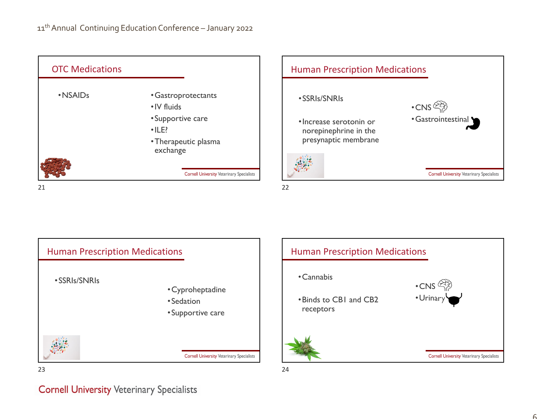

21 $1 \hspace{2.5cm}$ 





# **Cornell University Veterinary Specialists**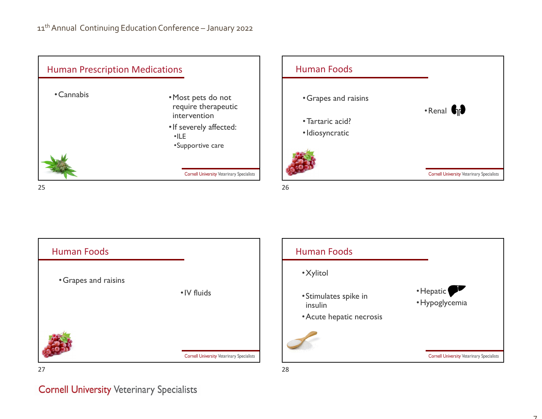









 $\overline{\phantom{0}}$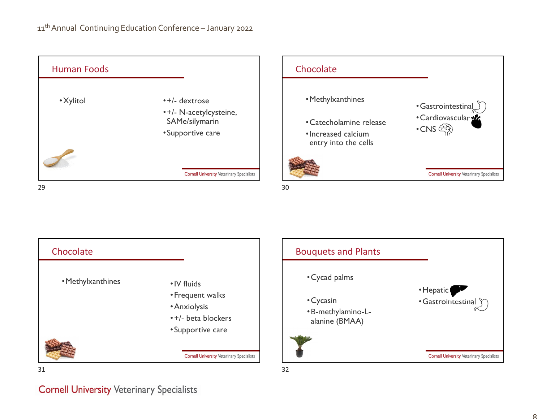





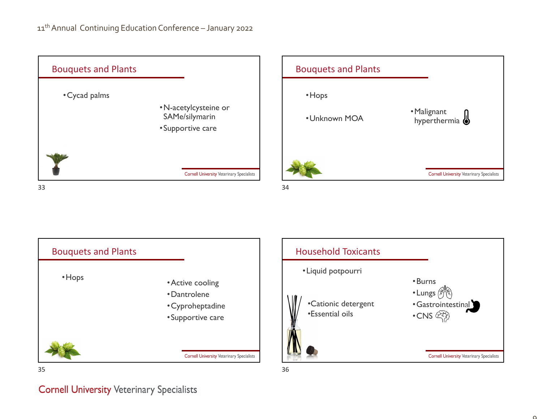







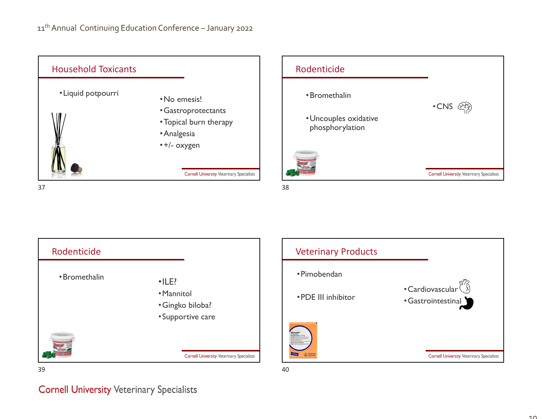







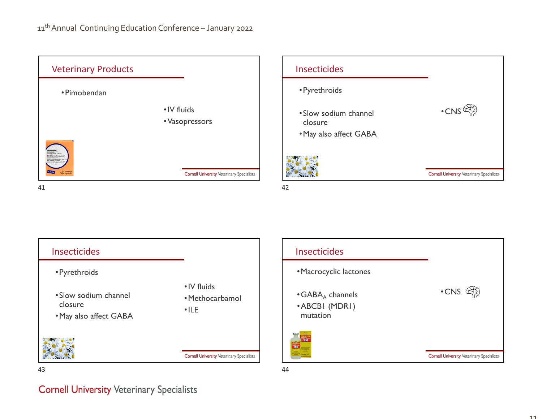